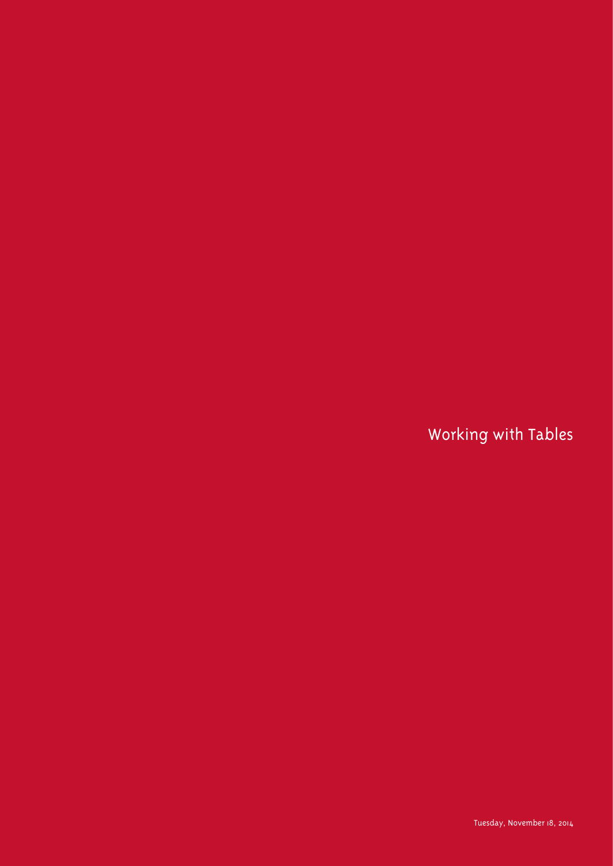Working with Tables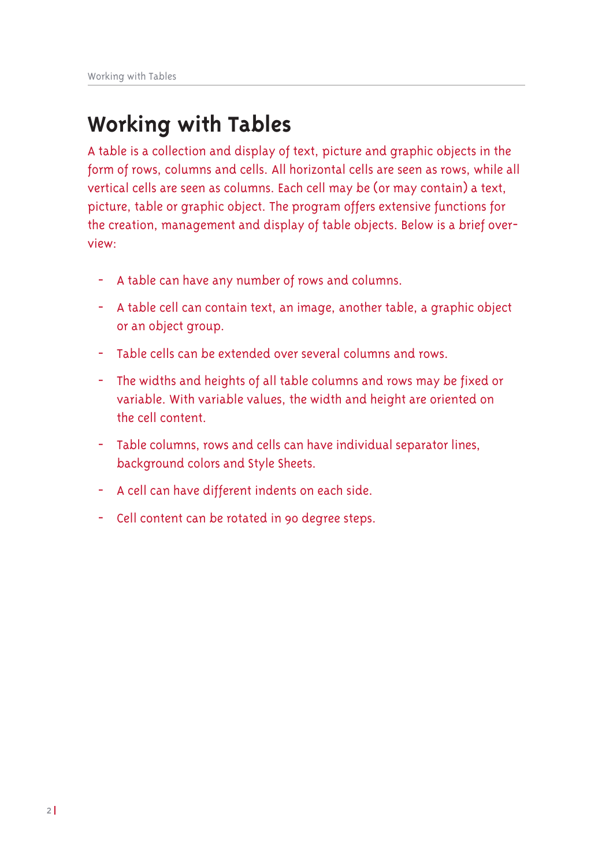# **Working with Tables**

A table is a collection and display of text, picture and graphic objects in the form of rows, columns and cells. All horizontal cells are seen as rows, while all vertical cells are seen as columns. Each cell may be (or may contain) a text, picture, table or graphic object. The program offers extensive functions for the creation, management and display of table objects. Below is a brief overview:

- A table can have any number of rows and columns.
- A table cell can contain text, an image, another table, a graphic object or an object group.
- Table cells can be extended over several columns and rows.
- The widths and heights of all table columns and rows may be fixed or variable. With variable values, the width and height are oriented on the cell content.
- Table columns, rows and cells can have individual separator lines, background colors and Style Sheets.
- A cell can have different indents on each side.
- Cell content can be rotated in 90 degree steps.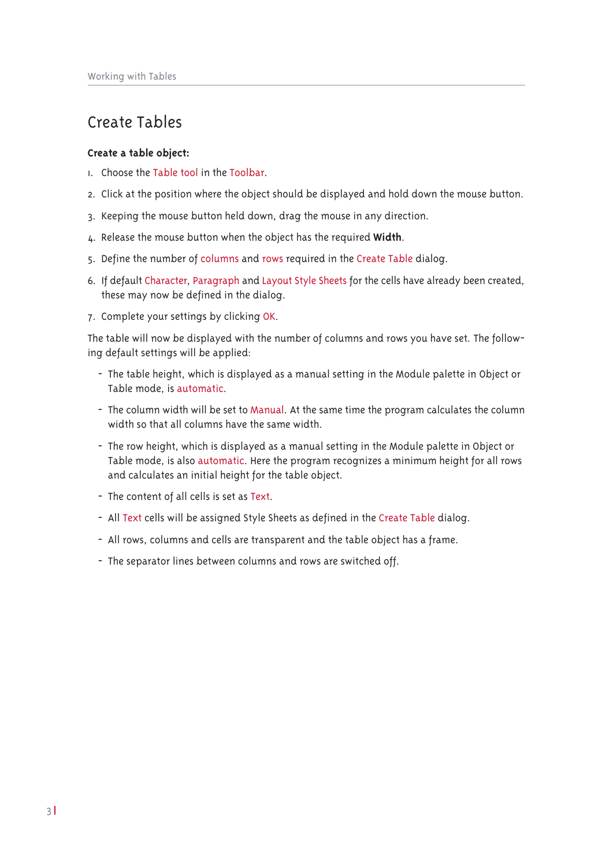## Create Tables

## Create a table object:

- I. Choose the Table tool in the Toolbar.
- 2. Click at the position where the object should be displayed and hold down the mouse button.
- 3. Keeping the mouse button held down, drag the mouse in any direction.
- 4. Release the mouse button when the object has the required Width.
- 5. Define the number of columns and rows required in the Create Table dialog.
- 6. If default Character, Paragraph and Layout Style Sheets for the cells have already been created, these may now be defined in the dialog.
- 7. Complete your settings by clicking OK.

The table will now be displayed with the number of columns and rows you have set. The following default settings will be applied:

- The table height, which is displayed as a manual setting in the Module palette in Object or Table mode, is automatic.
- The column width will be set to Manual. At the same time the program calculates the column width so that all columns have the same width.
- The row height, which is displayed as a manual setting in the Module palette in Object or Table mode, is also automatic. Here the program recognizes a minimum height for all rows and calculates an initial height for the table object.
- The content of all cells is set as Text.
- All Text cells will be assigned Style Sheets as defined in the Create Table dialog.
- All rows, columns and cells are transparent and the table object has a frame.
- The separator lines between columns and rows are switched off.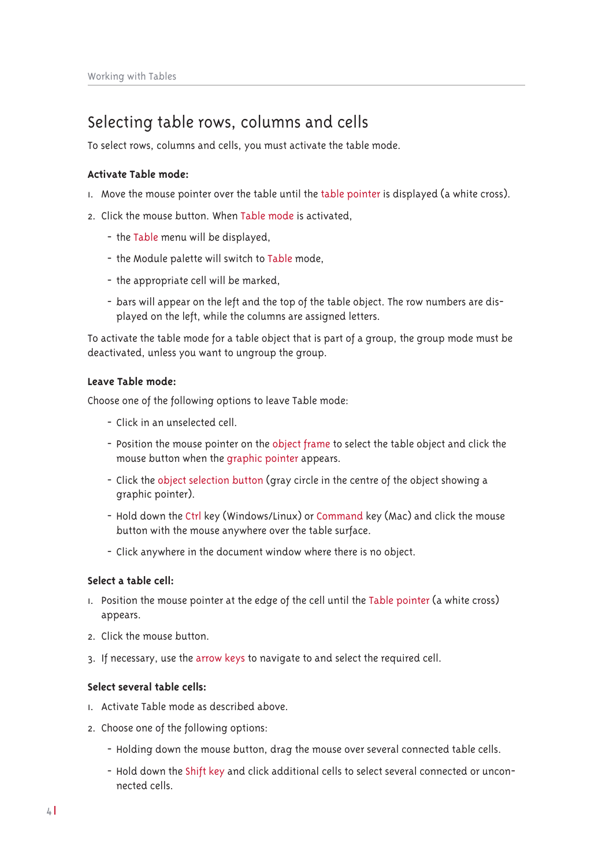## Selecting table rows, columns and cells

To select rows, columns and cells, you must activate the table mode.

## Activate Table mode:

- I. Move the mouse pointer over the table until the table pointer is displayed (a white cross).
- 2. Click the mouse button. When Table mode is activated,
	- the Table menu will be displayed,
	- the Module palette will switch to Table mode,
	- the appropriate cell will be marked,
	- bars will appear on the left and the top of the table object. The row numbers are displayed on the left, while the columns are assigned letters.

To activate the table mode for a table object that is part of a group, the group mode must be deactivated, unless you want to ungroup the group.

## Leave Table mode:

Choose one of the following options to leave Table mode:

- Click in an unselected cell.
- Position the mouse pointer on the object frame to select the table object and click the mouse button when the graphic pointer appears.
- Click the object selection button (gray circle in the centre of the object showing a graphic pointer).
- Hold down the Ctrl key (Windows/Linux) or Command key (Mac) and click the mouse button with the mouse anywhere over the table surface.
- Click anywhere in the document window where there is no object.

## Select a table cell:

- 1. Position the mouse pointer at the edge of the cell until the Table pointer (a white cross) appears.
- 2. Click the mouse button.
- 3. If necessary, use the arrow keys to navigate to and select the required cell.

## Select several table cells:

- 1. Activate Table mode as described above.
- 2. Choose one of the following options:
	- Holding down the mouse button, drag the mouse over several connected table cells.
	- Hold down the Shift key and click additional cells to select several connected or unconnected cells.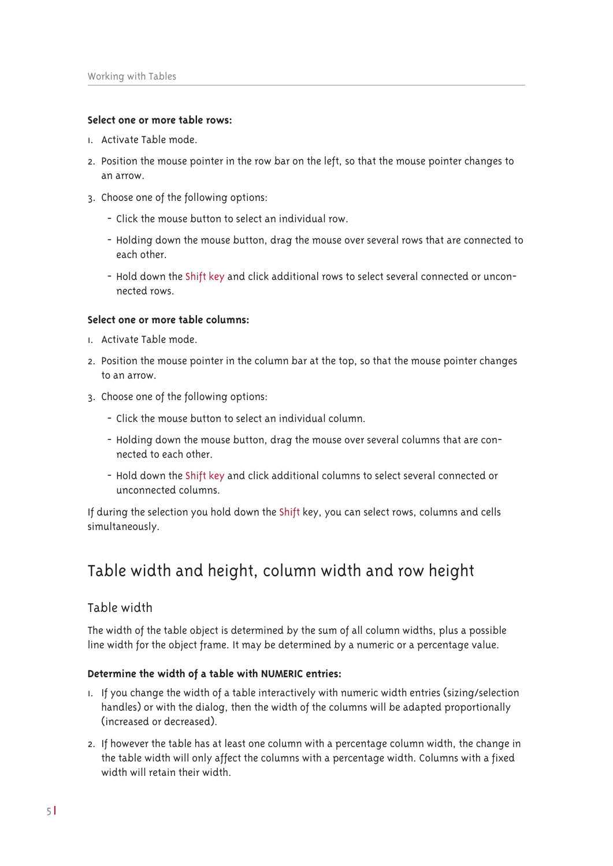## **Select one or more table rows:**

- L. Activate Table mode
- 2. Position the mouse pointer in the row bar on the left, so that the mouse pointer changes to an arrow.
- 3. Choose one of the following options:
	- Click the mouse button to select an individual row.
	- Holding down the mouse button, drag the mouse over several rows that are connected to each other.
	- Hold down the Shift key and click additional rows to select several connected or unconnected rows

## **Select one or more table columns:**

- L. Activate Table mode.
- 2. Position the mouse pointer in the column bar at the top, so that the mouse pointer changes to an arrow.
- 3. Choose one of the following options:
	- Click the mouse button to select an individual column.
	- Holding down the mouse button, drag the mouse over several columns that are connected to each other.
	- Hold down the Shift key and click additional columns to select several connected or unconnected columns.

If during the selection you hold down the Shift key, you can select rows, columns and cells simultaneously.

## Table width and height, column width and row height

## Table width

The width of the table object is determined by the sum of all column widths, plus a possible line width for the object frame. It may be determined by a numeric or a percentage value.

## **Determine the width of a table with NUMERIC entries:**

- I. If you change the width of a table interactively with numeric width entries (sizing/selection handles) or with the dialog, then the width of the columns will be adapted proportionally (increased or decreased).
- 2. If however the table has at least one column with a percentage column width, the change in the table width will only affect the columns with a percentage width. Columns with a fixed width will retain their width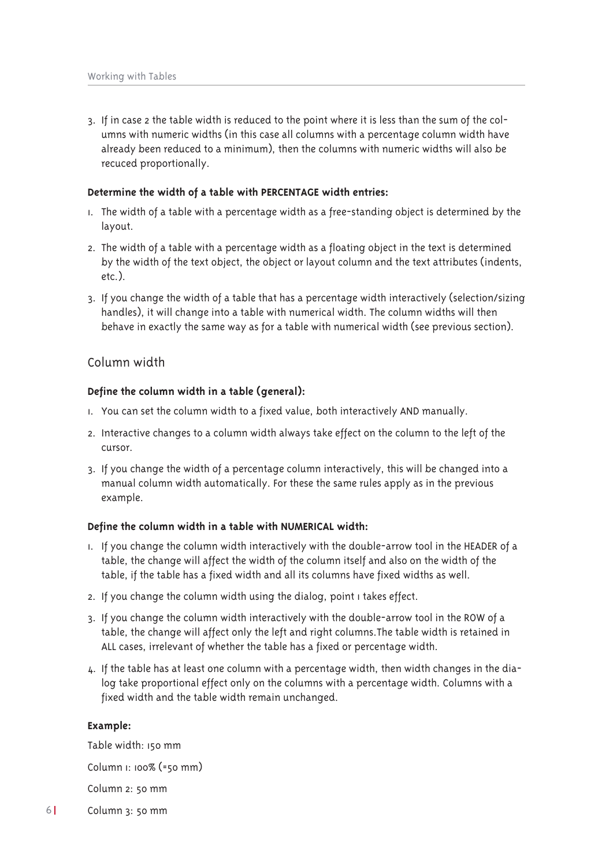3. If in case 2 the table width is reduced to the point where it is less than the sum of the columns with numeric widths (in this case all columns with a percentage column width have already been reduced to a minimum), then the columns with numeric widths will also be recuced proportionally.

#### Determine the width of a table with PERCENTAGE width entries:

- 1. The width of a table with a percentage width as a free-standing object is determined by the layout.
- 2. The width of a table with a percentage width as a floating object in the text is determined by the width of the text object, the object or layout column and the text attributes (indents,  $etc.$ ).
- 3. If you change the width of a table that has a percentage width interactively (selection/sizing handles), it will change into a table with numerical width. The column widths will then behave in exactly the same way as for a table with numerical width (see previous section).

## Column width

#### Define the column width in a table (general):

- I. You can set the column width to a fixed value, both interactively AND manually.
- 2. Interactive changes to a column width always take effect on the column to the left of the cursor.
- 3. If you change the width of a percentage column interactively, this will be changed into a manual column width automatically. For these the same rules apply as in the previous example.

#### Define the column width in a table with NUMERICAL width:

- 1. If you change the column width interactively with the double-arrow tool in the HEADER of a table, the change will affect the width of the column itself and also on the width of the table, if the table has a fixed width and all its columns have fixed widths as well.
- 2. If you change the column width using the dialog, point I takes effect.
- 3. If you change the column width interactively with the double-arrow tool in the ROW of a table, the change will affect only the left and right columns. The table width is retained in ALL cases, irrelevant of whether the table has a fixed or percentage width.
- 4. If the table has at least one column with a percentage width, then width changes in the dialog take proportional effect only on the columns with a percentage width. Columns with a fixed width and the table width remain unchanged.

#### Example:

Table width: 150 mm Column 1: 100% (=50 mm) Column 2: 50 mm Column 3: 50 mm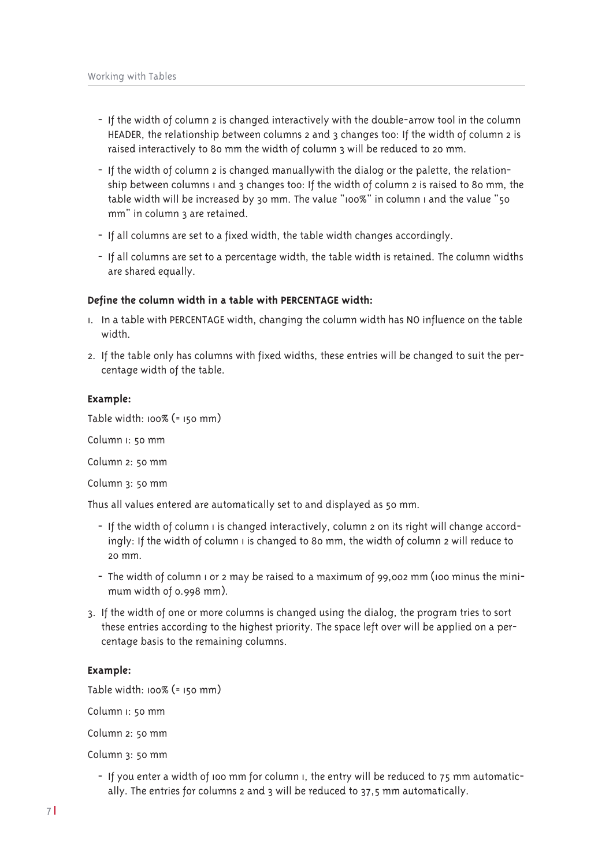- If the width of column 2 is changed interactively with the double-arrow tool in the column HEADER, the relationship between columns 2 and 3 changes too: If the width of column 2 is raised interactively to 80 mm the width of column 3 will be reduced to 20 mm.
- If the width of column 2 is changed manually with the dialog or the palette, the relationship between columns I and 3 changes too: If the width of column 2 is raised to 80 mm, the table width will be increased by 30 mm. The value "100%" in column I and the value "50 mm" in column 3 are retained.
- If all columns are set to a fixed width, the table width changes accordingly.
- If all columns are set to a percentage width, the table width is retained. The column widths are shared equally.

### Define the column width in a table with PERCENTAGE width:

- 1. In a table with PERCENTAGE width, changing the column width has NO influence on the table width
- 2. If the table only has columns with fixed widths, these entries will be changed to suit the percentage width of the table.

### Example:

Table width:  $100\%$  (=  $150$  mm)

Column I: 50 mm

Column 2: 50 mm

Column 3: 50 mm

Thus all values entered are automatically set to and displayed as 50 mm.

- If the width of column I is changed interactively, column 2 on its right will change accordingly: If the width of column I is changed to 80 mm, the width of column 2 will reduce to  $20 \text{ mm}$
- The width of column I or 2 may be raised to a maximum of 99,002 mm (100 minus the minimum width of 0.998 mm).
- 3. If the width of one or more columns is changed using the dialog, the program tries to sort these entries according to the highest priority. The space left over will be applied on a percentage basis to the remaining columns.

## Example:

Table width:  $100\%$  (=  $150$  mm)

Column I: 50 mm

Column 2: 50 mm

Column 3: 50 mm

- If you enter a width of 100 mm for column 1, the entry will be reduced to 75 mm automatically. The entries for columns 2 and 3 will be reduced to 37,5 mm automatically.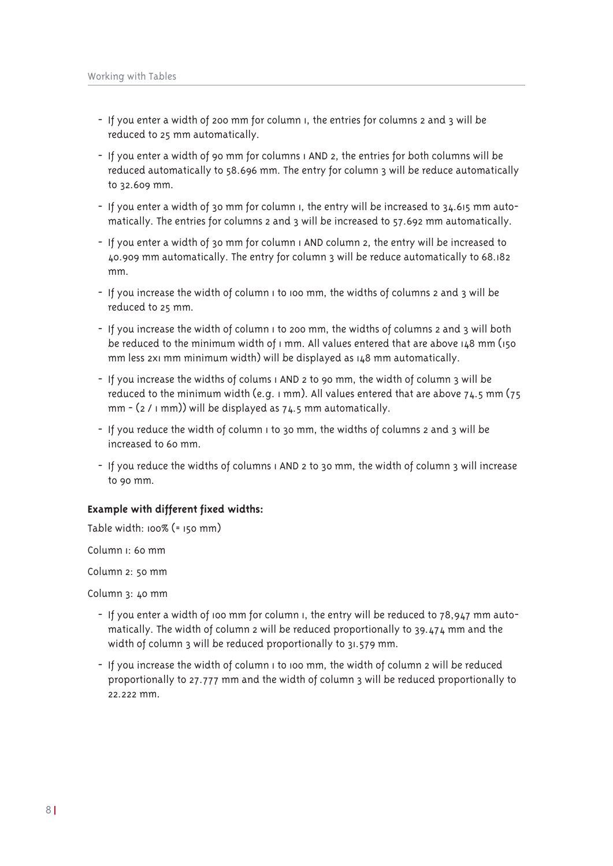- If you enter a width of 200 mm for column i, the entries for columns 2 and 3 will be reduced to 25 mm automatically.
- If you enter a width of 90 mm for columns (AND 2, the entries for both columns will be reduced automatically to 58.696 mm. The entry for column 3 will be reduce automatically to 32.609 mm.
- If you enter a width of 30 mm for column i, the entry will be increased to 34.615 mm automatically. The entries for columns 2 and 3 will be increased to 57.692 mm automatically.
- If you enter a width of 30 mm for column I AND column 2, the entry will be increased to 40.909 mm automatically. The entry for column 3 will be reduce automatically to 68.182 mm.
- If you increase the width of column I to 100 mm, the widths of columns 2 and 3 will be reduced to 25 mm.
- If you increase the width of column I to 200 mm, the widths of columns 2 and 3 will both be reduced to the minimum width of  $\iota$  mm. All values entered that are above  $\iota_4$ 8 mm ( $\iota_5$ o mm less 2x1 mm minimum width) will be displayed as 148 mm automatically.
- If you increase the widths of colums I AND 2 to 90 mm, the width of column 3 will be reduced to the minimum width (e.g.  $1$  mm). All values entered that are above  $74.5$  mm ( $75$ mm  $-$  (2 /  $\vert$  mm)) will be displayed as 74.5 mm automatically.
- If you reduce the width of column i to 30 mm, the widths of columns 2 and 3 will be increased to 60 mm.
- If you reduce the widths of columns I AND 2 to 30 mm, the width of column 3 will increase to 90 mm.

## Example with different fixed widths:

Table width:  $100\%$  (=  $150$  mm)

Column <sub>I</sub>: 60 mm

Column 2: 50 mm

Column 3: 40 mm

- If you enter a width of 100 mm for column 1, the entry will be reduced to 78,947 mm automatically. The width of column 2 will be reduced proportionally to 39.474 mm and the width of column 3 will be reduced proportionally to 31.579 mm.
- If you increase the width of column I to 100 mm, the width of column 2 will be reduced proportionally to 27.777 mm and the width of column 3 will be reduced proportionally to  $2222 \text{ mm}$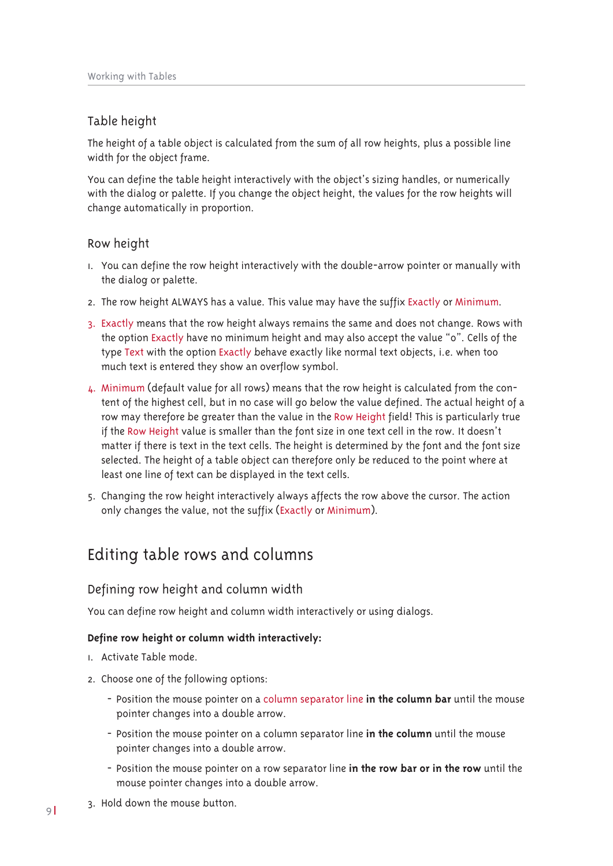## Table height

The height of a table object is calculated from the sum of all row heights, plus a possible line width for the object frame.

You can define the table height interactively with the object's sizing handles, or numerically with the dialog or palette. If you change the object height, the values for the row heights will change automatically in proportion.

## Row height

- 1. You can define the row height interactively with the double-arrow pointer or manually with the dialog or palette.
- 2. The row height ALWAYS has a value. This value may have the suffix Exactly or Minimum.
- 3. Exactly means that the row height always remains the same and does not change. Rows with the option Exactly have no minimum height and may also accept the value "o". Cells of the type Text with the option Exactly behave exactly like normal text objects, i.e. when too much text is entered they show an overflow symbol.
- 4. Minimum (default value for all rows) means that the row height is calculated from the content of the highest cell, but in no case will go below the value defined. The actual height of a row may therefore be greater than the value in the Row Height field! This is particularly true if the Row Height value is smaller than the font size in one text cell in the row. It doesn't matter if there is text in the text cells. The height is determined by the font and the font size selected. The height of a table object can therefore only be reduced to the point where at least one line of text can be displayed in the text cells.
- 5. Changing the row height interactively always affects the row above the cursor. The action only changes the value, not the suffix (Exactly or Minimum).

## Editing table rows and columns

## Defining row height and column width

You can define row height and column width interactively or using dialogs.

## Define row height or column width interactively:

- I. Activate Table mode.
- 2. Choose one of the following options:
	- Position the mouse pointer on a column separator line in the column bar until the mouse pointer changes into a double arrow.
	- Position the mouse pointer on a column separator line in the column until the mouse pointer changes into a double arrow.
	- Position the mouse pointer on a row separator line in the row bar or in the row until the mouse pointer changes into a double arrow.
- 3. Hold down the mouse button.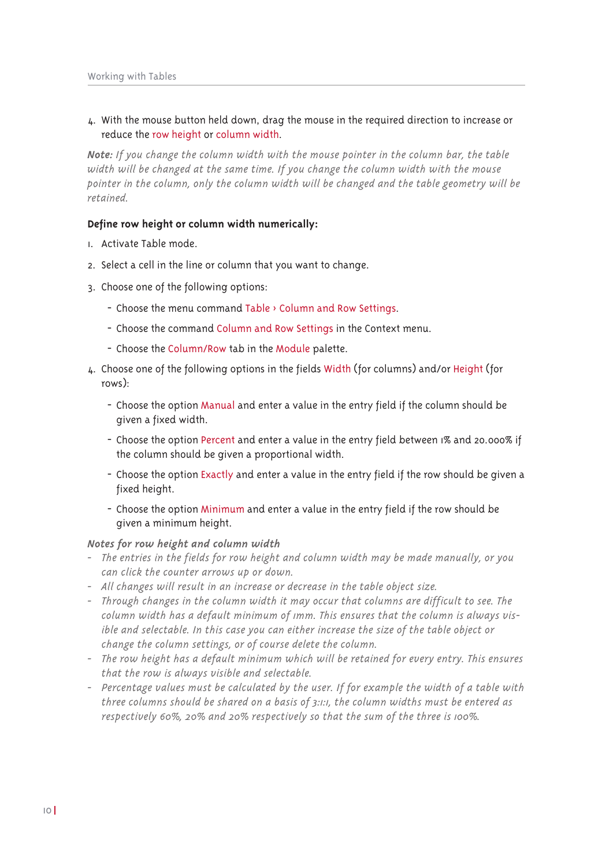## 4. With the mouse button held down, drag the mouse in the required direction to increase or reduce the row height or column width.

Note: If you change the column width with the mouse pointer in the column bar, the table width will be changed at the same time. If you change the column width with the mouse pointer in the column, only the column width will be changed and the table geometry will be retained.

## Define row height or column width numerically:

- I. Activate Table mode.
- 2. Select a cell in the line or column that you want to change.
- 3. Choose one of the following options:
	- Choose the menu command Table > Column and Row Settings.
	- Choose the command Column and Row Settings in the Context menu.
	- Choose the Column/Row tab in the Module palette.
- 4. Choose one of the following options in the fields Width (for columns) and/or Height (for  $rows$ :
	- Choose the option Manual and enter a value in the entry field if the column should be given a fixed width.
	- Choose the option Percent and enter a value in the entry field between 1% and 20.000% if the column should be given a proportional width.
	- Choose the option Exactly and enter a value in the entry field if the row should be given a fixed height.
	- Choose the option Minimum and enter a value in the entry field if the row should be given a minimum height.

## Notes for row height and column width

- The entries in the fields for row height and column width may be made manually, or you can click the counter arrows up or down.
- All changes will result in an increase or decrease in the table object size.
- Through changes in the column width it may occur that columns are difficult to see. The column width has a default minimum of imm. This ensures that the column is always visible and selectable. In this case you can either increase the size of the table object or change the column settings, or of course delete the column.
- The row height has a default minimum which will be retained for every entry. This ensures that the row is always visible and selectable.
- Percentage values must be calculated by the user. If for example the width of a table with three columns should be shared on a basis of 3:1:1, the column widths must be entered as respectively 60%, 20% and 20% respectively so that the sum of the three is 100%.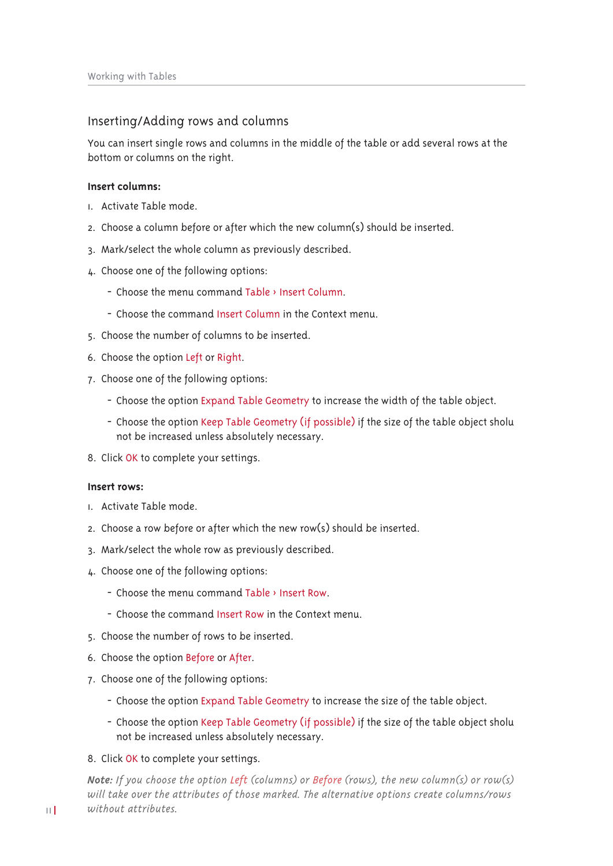## Inserting/Adding rows and columns

You can insert single rows and columns in the middle of the table or add several rows at the bottom or columns on the right.

### Insert columns:

- L. Activate Table mode.
- 2. Choose a column before or after which the new column(s) should be inserted.
- 3. Mark/select the whole column as previously described.
- 4. Choose one of the following options:
	- Choose the menu command Table > Insert Column.
	- Choose the command Insert Column in the Context menu.
- 5. Choose the number of columns to be inserted.
- 6. Choose the option Left or Right.
- 7. Choose one of the following options:
	- Choose the option Expand Table Geometry to increase the width of the table object.
	- Choose the option Keep Table Geometry (if possible) if the size of the table object sholu not be increased unless absolutely necessary.
- 8. Click OK to complete your settings.

#### Insert rows:

- I. Activate Table mode.
- 2. Choose a row before or after which the new row(s) should be inserted.
- 3. Mark/select the whole row as previously described.
- 4. Choose one of the following options:
	- Choose the menu command Table  $\rightarrow$  Insert Row.
	- Choose the command Insert Row in the Context menu.
- 5. Choose the number of rows to be inserted.
- 6. Choose the option Before or After.
- 7. Choose one of the following options:
	- Choose the option Expand Table Geometry to increase the size of the table object.
	- Choose the option Keep Table Geometry (if possible) if the size of the table object sholu not be increased unless absolutely necessary.
- 8. Click OK to complete your settings.

**Note:** If you choose the option Left (columns) or Before (rows), the new column(s) or row(s) will take over the attributes of those marked. The alternative options create columns/rows without attributes.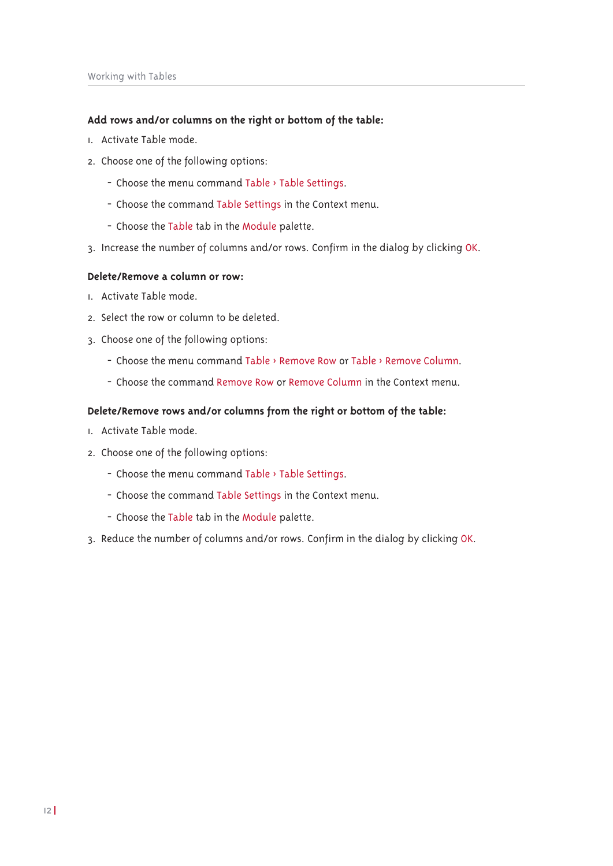## Add rows and/or columns on the right or bottom of the table:

- L. Activate Table mode.
- 2. Choose one of the following options:
	- Choose the menu command Table > Table Settings.
	- Choose the command Table Settings in the Context menu.
	- Choose the Table tab in the Module palette.
- 3. Increase the number of columns and/or rows. Confirm in the dialog by clicking OK.

## Delete/Remove a column or row:

- I. Activate Table mode.
- 2. Select the row or column to be deleted.
- 3. Choose one of the following options:
	- Choose the menu command Table > Remove Row or Table > Remove Column.
	- Choose the command Remove Row or Remove Column in the Context menu.

## Delete/Remove rows and/or columns from the right or bottom of the table:

- I. Activate Table mode.
- 2. Choose one of the following options:
	- Choose the menu command Table > Table Settings.
	- Choose the command Table Settings in the Context menu.
	- Choose the Table tab in the Module palette.
- 3. Reduce the number of columns and/or rows. Confirm in the dialog by clicking OK.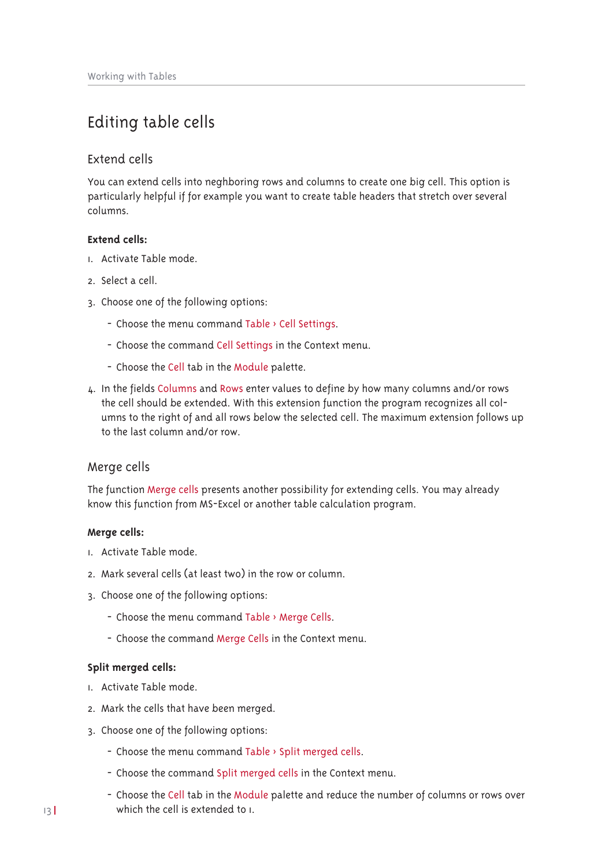## Editing table cells

## Extend cells

You can extend cells into neghboring rows and columns to create one big cell. This option is particularly helpful if for example you want to create table headers that stretch over several columns

## **Extend cells:**

- I. Activate Table mode.
- 2. Select a cell.
- 3. Choose one of the following options:
	- Choose the menu command Table > Cell Settings.
	- Choose the command Cell Settings in the Context menu.
	- Choose the Cell tab in the Module palette.
- 4. In the fields Columns and Rows enter values to define by how many columns and/or rows the cell should be extended. With this extension function the program recognizes all columns to the right of and all rows below the selected cell. The maximum extension follows up to the last column and/or row.

## Merge cells

The function Merge cells presents another possibility for extending cells. You may already know this function from MS-Excel or another table calculation program.

### Merge cells:

- L. Activate Table mode
- 2. Mark several cells (at least two) in the row or column.
- 3. Choose one of the following options:
	- Choose the menu command Table > Merge Cells.
	- Choose the command Merge Cells in the Context menu.

### Split merged cells:

- 1. Activate Table mode.
- 2. Mark the cells that have been merged.
- 3. Choose one of the following options:
	- Choose the menu command Table > Split merged cells.
	- Choose the command Split merged cells in the Context menu.
	- Choose the Cell tab in the Module palette and reduce the number of columns or rows over which the cell is extended to L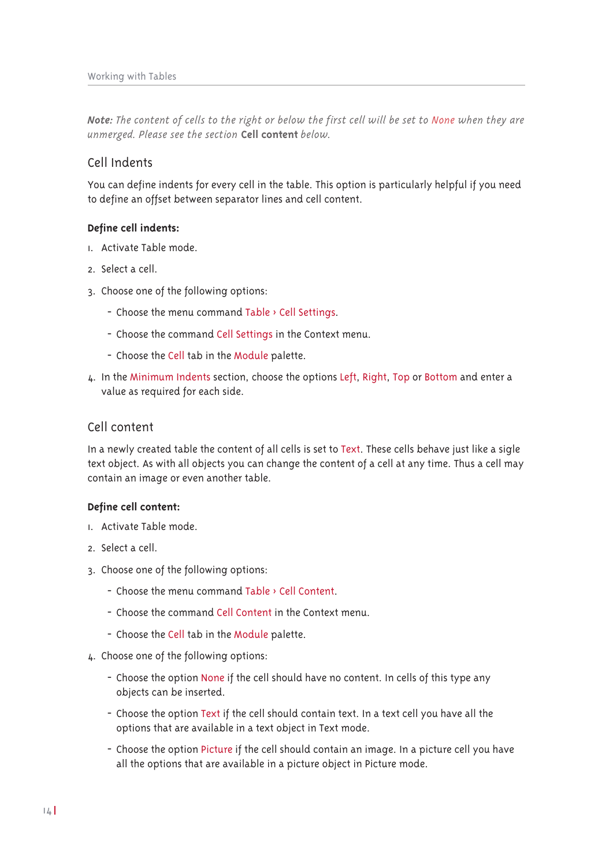Note: The content of cells to the right or below the first cell will be set to None when they are unmerged. Please see the section Cell content below.

## Cell Indents

You can define indents for every cell in the table. This option is particularly helpful if you need to define an offset between separator lines and cell content.

## Define cell indents:

- L. Activate Table mode.
- 2 Select a cell
- 3. Choose one of the following options:
	- Choose the menu command Table > Cell Settings.
	- Choose the command Cell Settings in the Context menu.
	- Choose the Cell tab in the Module palette.
- 4. In the Minimum Indents section, choose the options Left, Right, Top or Bottom and enter a value as required for each side.

## Cell content

In a newly created table the content of all cells is set to Text. These cells behave just like a sigle text object. As with all objects you can change the content of a cell at any time. Thus a cell may contain an image or even another table.

### Define cell content:

- L. Activate Table mode
- 2. Select a cell.
- 3. Choose one of the following options:
	- Choose the menu command Table > Cell Content.
	- Choose the command Cell Content in the Context menu.
	- Choose the Cell tab in the Module palette.
- 4. Choose one of the following options:
	- Choose the option None if the cell should have no content. In cells of this type any objects can be inserted.
	- Choose the option Text if the cell should contain text. In a text cell you have all the options that are available in a text object in Text mode.
	- Choose the option Picture if the cell should contain an image. In a picture cell you have all the options that are available in a picture object in Picture mode.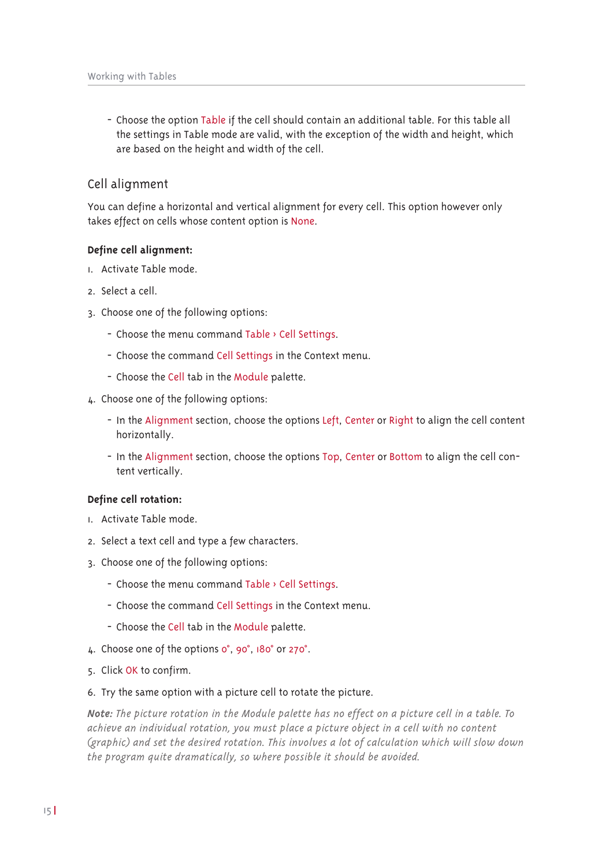- Choose the option Table if the cell should contain an additional table. For this table all the settings in Table mode are valid, with the exception of the width and height, which are based on the height and width of the cell.

## Cell alignment

You can define a horizontal and vertical alignment for every cell. This option however only takes effect on cells whose content option is None.

## Define cell alignment:

- L. Activate Table mode
- 2. Select a cell.
- 3. Choose one of the following options:
	- Choose the menu command Table > Cell Settings.
	- Choose the command Cell Settings in the Context menu.
	- Choose the Cell tab in the Module palette.
- 4. Choose one of the following options:
	- In the Alignment section, choose the options Left, Center or Right to align the cell content horizontally.
	- In the Alignment section, choose the options Top, Center or Bottom to align the cell content vertically.

## Define cell rotation:

- I. Activate Table mode.
- 2. Select a text cell and type a few characters.
- 3. Choose one of the following options:
	- Choose the menu command Table > Cell Settings.
	- Choose the command Cell Settings in the Context menu.
	- Choose the Cell tab in the Module palette.
- 4. Choose one of the options o°, 90°, 180° or 270°.
- 5. Click OK to confirm.
- 6. Try the same option with a picture cell to rotate the picture.

Note: The picture rotation in the Module palette has no effect on a picture cell in a table. To achieve an individual rotation, you must place a picture object in a cell with no content (graphic) and set the desired rotation. This involves a lot of calculation which will slow down the program quite dramatically, so where possible it should be avoided.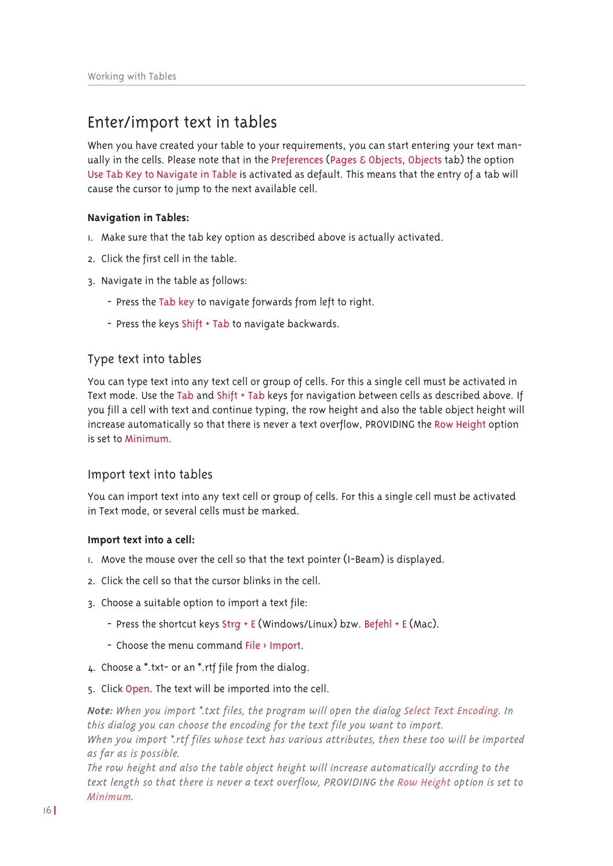## Enter/import text in tables

When you have created your table to your requirements, you can start entering your text manually in the cells. Please note that in the Preferences (Pages & Objects, Objects tab) the option Use Tab Key to Navigate in Table is activated as default. This means that the entry of a tab will cause the cursor to jump to the next available cell.

## **Navigation in Tables:**

- I. Make sure that the tab key option as described above is actually activated.
- 2. Click the first cell in the table.
- 3. Navigate in the table as follows:
	- Press the Tab key to navigate forwards from left to right.
	- Press the keys Shift + Tab to navigate backwards.

## Type text into tables

You can type text into any text cell or group of cells. For this a single cell must be activated in Text mode. Use the Tab and Shift + Tab keys for navigation between cells as described above. If you fill a cell with text and continue typing, the row height and also the table object height will increase automatically so that there is never a text overflow. PROVIDING the Row Height option is set to Minimum.

## Import text into tables

You can import text into any text cell or group of cells. For this a single cell must be activated in Text mode, or several cells must be marked.

### Import text into a cell:

- I. Move the mouse over the cell so that the text pointer (I-Beam) is displayed.
- 2. Click the cell so that the cursor blinks in the cell.
- 3. Choose a suitable option to import a text file:
	- Press the shortcut keys Strg + E (Windows/Linux) bzw. Befehl + E (Mac).
	- Choose the menu command File > Import.
- 4. Choose a \*.txt- or an \*.rtf file from the dialog.
- 5. Click Open. The text will be imported into the cell.

Note: When you import \*.txt files, the program will open the dialog Select Text Encoding. In this dialog you can choose the encoding for the text file you want to import. When you import \*.rtf files whose text has various attributes, then these too will be imported

as far as is possible.

The row height and also the table object height will increase automatically accrding to the text length so that there is never a text overflow, PROVIDING the Row Height option is set to Minimum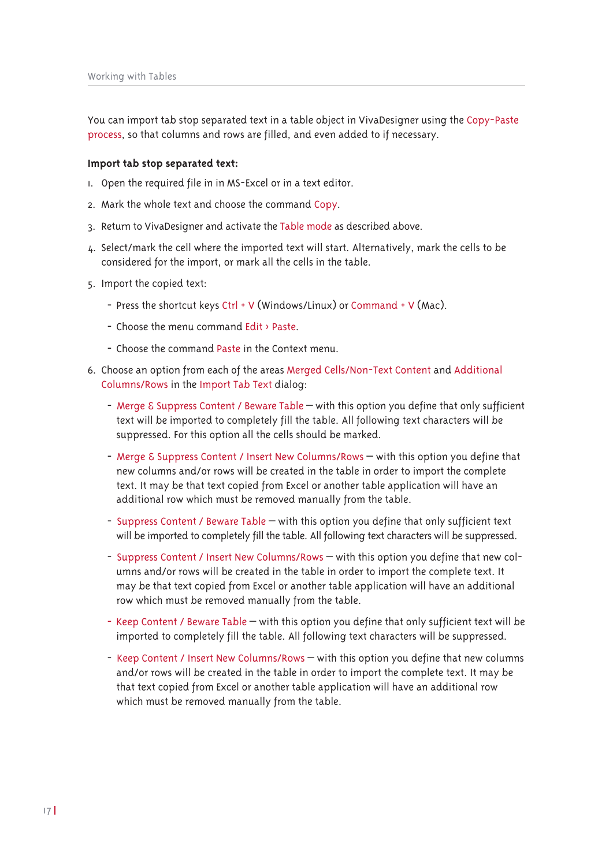You can import tab stop separated text in a table object in VivaDesigner using the Copy-Paste process, so that columns and rows are filled, and even added to if necessary.

#### Import tab stop separated text:

- I. Open the required file in in MS-Excel or in a text editor.
- 2. Mark the whole text and choose the command Copy.
- 3. Return to VivaDesigner and activate the Table mode as described above.
- 4. Select/mark the cell where the imported text will start. Alternatively, mark the cells to be considered for the import, or mark all the cells in the table.
- 5. Import the copied text:
	- Press the shortcut keys Ctrl + V (Windows/Linux) or Command + V (Mac).
	- Choose the menu command Edit > Paste.
	- Choose the command Paste in the Context menu.
- 6. Choose an option from each of the areas Merged Cells/Non-Text Content and Additional Columns/Rows in the Import Tab Text dialog:
	- Merge & Suppress Content / Beware Table with this option you define that only sufficient text will be imported to completely fill the table. All following text characters will be suppressed. For this option all the cells should be marked.
	- Merge & Suppress Content / Insert New Columns/Rows with this option you define that new columns and/or rows will be created in the table in order to import the complete text. It may be that text copied from Excel or another table application will have an additional row which must be removed manually from the table.
	- Suppress Content / Beware Table with this option you define that only sufficient text will be imported to completely fill the table. All following text characters will be suppressed.
	- Suppress Content / Insert New Columns/Rows with this option you define that new columns and/or rows will be created in the table in order to import the complete text. It may be that text copied from Excel or another table application will have an additional row which must be removed manually from the table.
	- Keep Content / Beware Table with this option you define that only sufficient text will be imported to completely fill the table. All following text characters will be suppressed.
	- Keep Content / Insert New Columns/Rows with this option you define that new columns and/or rows will be created in the table in order to import the complete text. It may be that text copied from Excel or another table application will have an additional row which must be removed manually from the table.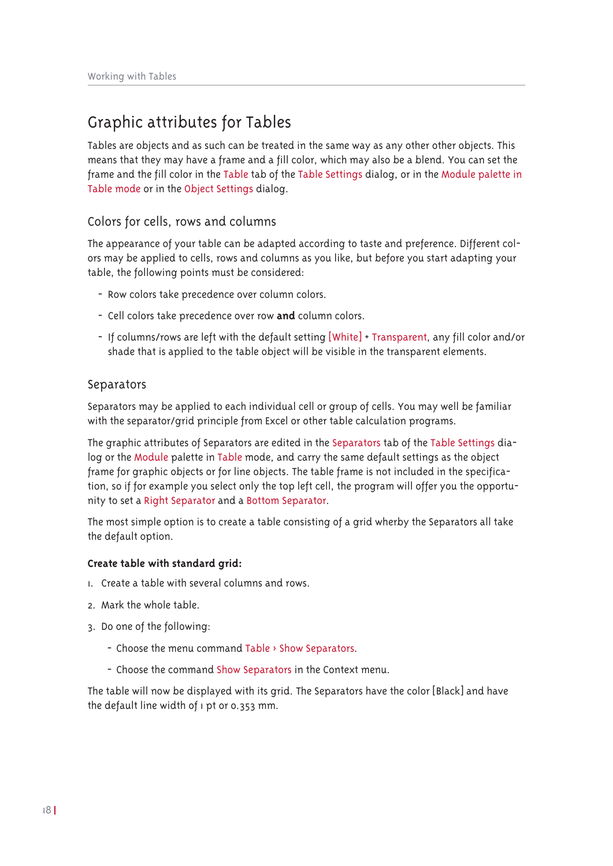## Graphic attributes for Tables

Tables are objects and as such can be treated in the same way as any other other objects. This means that they may have a frame and a fill color, which may also be a blend. You can set the frame and the fill color in the Table tab of the Table Settings dialog, or in the Module palette in Table mode or in the Object Settings dialog.

## Colors for cells, rows and columns

The appearance of your table can be adapted according to taste and preference. Different colors may be applied to cells, rows and columns as you like, but before you start adapting your table, the following points must be considered:

- Row colors take precedence over column colors.
- Cell colors take precedence over row and column colors.
- If columns/rows are left with the default setting [White] + Transparent, any fill color and/or shade that is applied to the table object will be visible in the transparent elements.

## Separators

Separators may be applied to each individual cell or group of cells. You may well be familiar with the separator/grid principle from Excel or other table calculation programs.

The graphic attributes of Separators are edited in the Separators tab of the Table Settings dialog or the Module palette in Table mode, and carry the same default settings as the object frame for graphic objects or for line objects. The table frame is not included in the specification, so if for example you select only the top left cell, the program will offer you the opportunity to set a Right Separator and a Bottom Separator.

The most simple option is to create a table consisting of a grid wherby the Separators all take the default option.

### Create table with standard grid:

- L. Create a table with several columns and rows.
- 2 Mark the whole table
- 3. Do one of the following:
	- Choose the menu command Table > Show Separators.
	- Choose the command Show Separators in the Context menu.

The table will now be displayed with its grid. The Separators have the color [Black] and have the default line width of I pt or 0.353 mm.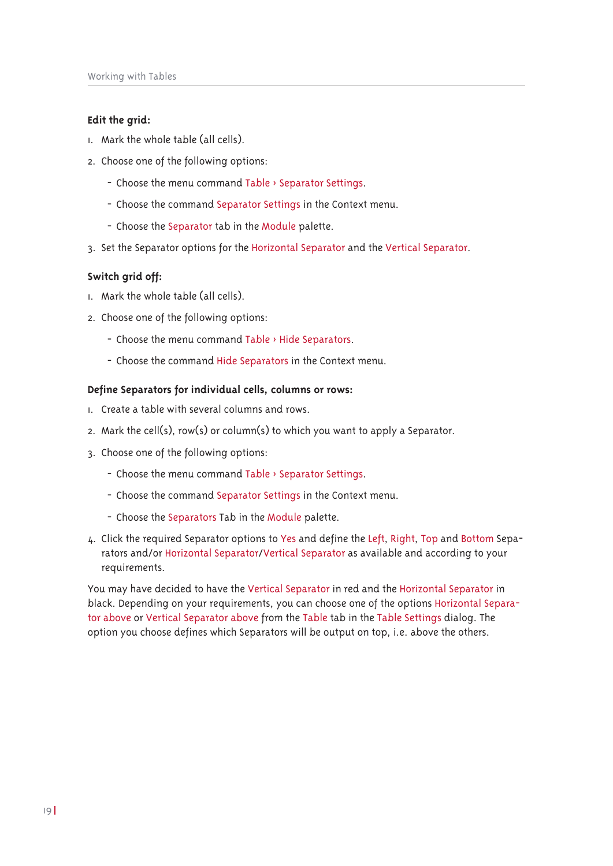### Edit the grid:

- 1. Mark the whole table (all cells).
- 2. Choose one of the following options:
	- Choose the menu command Table > Separator Settings.
	- Choose the command Separator Settings in the Context menu.
	- Choose the Separator tab in the Module palette.
- 3. Set the Separator options for the Horizontal Separator and the Vertical Separator.

## Switch arid off:

- I. Mark the whole table (all cells).
- 2. Choose one of the following options:
	- Choose the menu command Table > Hide Separators.
	- Choose the command Hide Separators in the Context menu.

## Define Separators for individual cells, columns or rows:

- 1. Create a table with several columns and rows.
- 2. Mark the cell(s), row(s) or column(s) to which you want to apply a Separator.
- 3. Choose one of the following options:
	- Choose the menu command Table > Separator Settings.
	- Choose the command Separator Settings in the Context menu.
	- Choose the Separators Tab in the Module palette.
- 4. Click the required Separator options to Yes and define the Left, Right, Top and Bottom Separators and/or Horizontal Separator/Vertical Separator as available and according to your requirements.

You may have decided to have the Vertical Separator in red and the Horizontal Separator in black. Depending on your requirements, you can choose one of the options Horizontal Separator above or Vertical Separator above from the Table tab in the Table Settings dialog. The option you choose defines which Separators will be output on top, i.e. above the others.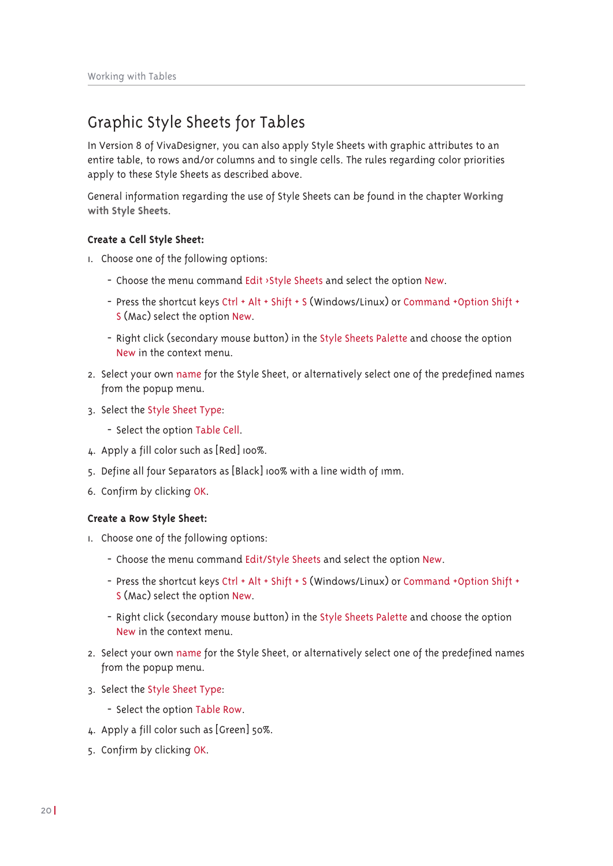## Graphic Style Sheets for Tables

In Version 8 of VivaDesigner, you can also apply Style Sheets with graphic attributes to an entire table, to rows and/or columns and to single cells. The rules regarding color priorities apply to these Style Sheets as described above.

General information regarding the use of Style Sheets can be found in the chapter Working with Style Sheets.

## Create a Cell Style Sheet:

- I. Choose one of the following options:
	- Choose the menu command Edit >Style Sheets and select the option New.
	- Press the shortcut keys Ctrl + Alt + Shift + S (Windows/Linux) or Command + Option Shift + S (Mac) select the option New.
	- Right click (secondary mouse button) in the Style Sheets Palette and choose the option New in the context menu.
- 2. Select your own name for the Style Sheet, or alternatively select one of the predefined names from the popup menu.
- 3. Select the Style Sheet Type:
	- Select the option Table Cell.
- 4. Apply a fill color such as [Red] 100%.
- 5. Define all four Separators as [Black] 100% with a line width of 1mm.
- 6. Confirm by clicking OK.

### Create a Row Style Sheet:

- I. Choose one of the following options:
	- Choose the menu command Edit/Style Sheets and select the option New.
	- Press the shortcut keys Ctrl + Alt + Shift + S (Windows/Linux) or Command + Option Shift + S (Mac) select the option New.
	- Right click (secondary mouse button) in the Style Sheets Palette and choose the option New in the context menu.
- 2. Select your own name for the Style Sheet, or alternatively select one of the predefined names from the popup menu.
- 3. Select the Style Sheet Type:
	- Select the option Table Row.
- 4. Apply a fill color such as [Green] 50%.
- 5. Confirm by clicking OK.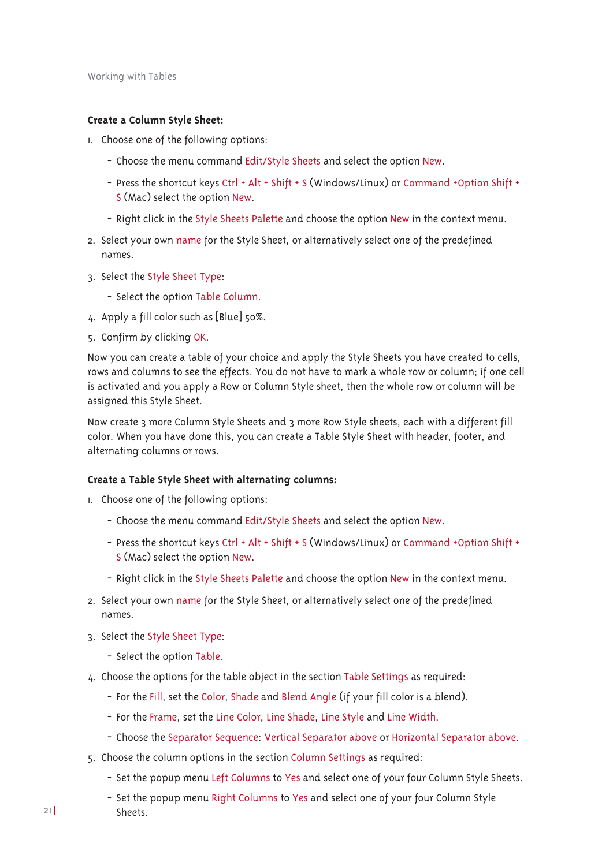### Create a Column Style Sheet:

- I. Choose one of the following options:
	- Choose the menu command Edit/Style Sheets and select the option New.
	- Press the shortcut keys Ctrl + Alt + Shift + S (Windows/Linux) or Command + Option Shift + S (Mac) select the option New.
	- Right click in the Style Sheets Palette and choose the option New in the context menu.
- 2. Select your own name for the Style Sheet, or alternatively select one of the predefined names.
- 3. Select the Style Sheet Type:
	- Select the option Table Column.
- 4. Apply a fill color such as [Blue] 50%.
- 5. Confirm by clicking OK.

Now you can create a table of your choice and apply the Style Sheets you have created to cells. rows and columns to see the effects. You do not have to mark a whole row or column; if one cell is activated and you apply a Row or Column Style sheet, then the whole row or column will be assigned this Style Sheet.

Now create 3 more Column Style Sheets and 3 more Row Style sheets, each with a different fill color. When you have done this, you can create a Table Style Sheet with header, footer, and alternating columns or rows.

### Create a Table Style Sheet with alternating columns:

- I. Choose one of the following options:
	- Choose the menu command Edit/Style Sheets and select the option New.
	- Press the shortcut keys Ctrl + Alt + Shift + S (Windows/Linux) or Command + Option Shift + S (Mac) select the option New.
	- Right click in the Style Sheets Palette and choose the option New in the context menu.
- 2. Select your own name for the Style Sheet, or alternatively select one of the predefined names.
- 3. Select the Style Sheet Type:
	- Select the option Table.
- 4. Choose the options for the table object in the section Table Settings as required:
	- For the Fill, set the Color, Shade and Blend Angle (if your fill color is a blend).
	- For the Frame, set the Line Color, Line Shade, Line Style and Line Width.
	- Choose the Separator Sequence: Vertical Separator above or Horizontal Separator above.
- 5. Choose the column options in the section Column Settings as required:
	- Set the popup menu Left Columns to Yes and select one of your four Column Style Sheets.
	- Set the popup menu Right Columns to Yes and select one of your four Column Style Sheets